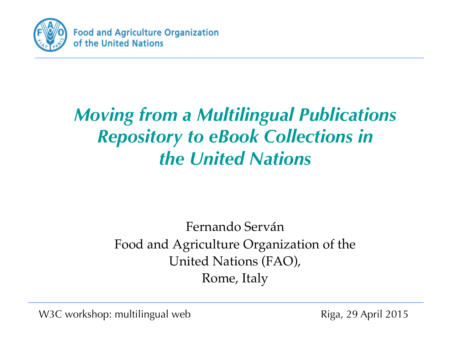

#### *Moving from a Multilingual Publications Repository to eBook Collections in the United Nations*

#### Fernando Serván Food and Agriculture Organization of the United Nations (FAO), Rome, Italy

W3C workshop: multilingual web Riga, 29 April 2015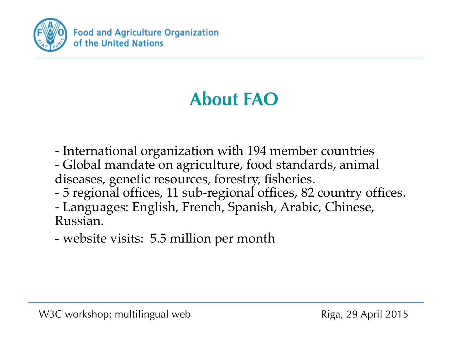

## **About FAO**

- International organization with 194 member countries - Global mandate on agriculture, food standards, animal diseases, genetic resources, forestry, fisheries. - 5 regional offices, 11 sub-regional offices, 82 country offices. - Languages: English, French, Spanish, Arabic, Chinese, Russian.

- website visits: 5.5 million per month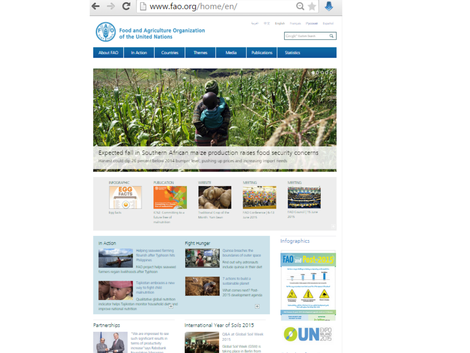



such significant results in terms of productivity increase"says Rabobank



Global Soil Week (GSW) is taking place in Berlin from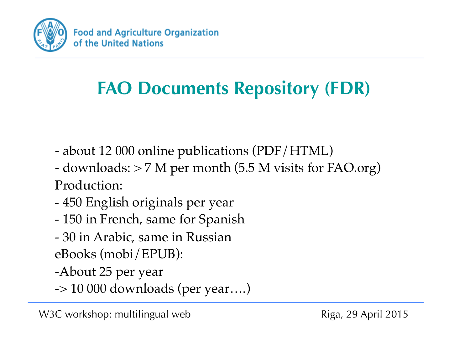

### **FAO Documents Repository (FDR)**

- about 12 000 online publications (PDF/HTML)
- downloads: > 7 M per month (5.5 M visits for FAO.org) Production:
- 450 English originals per year
- 150 in French, same for Spanish
- 30 in Arabic, same in Russian
- eBooks (mobi/EPUB):
- -About 25 per year
- -> 10 000 downloads (per year….)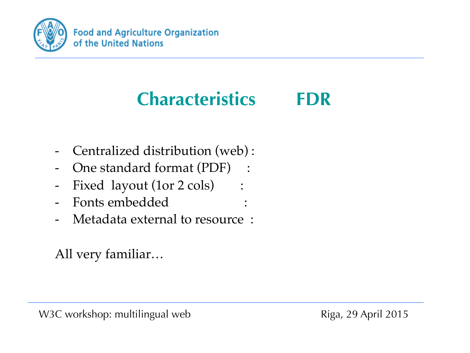

# **Characteristics FDR**

- Centralized distribution (web):
- One standard format (PDF) :
- Fixed layout (1or 2 cols) :
- Fonts embedded :
- Metadata external to resource :

All very familiar…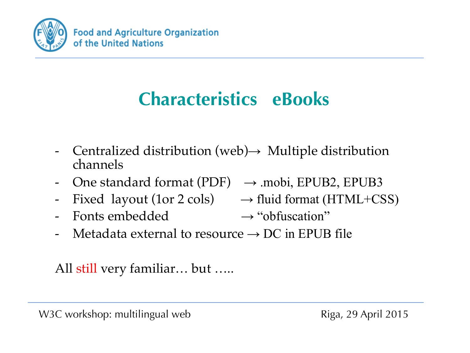

## **Characteristics eBooks**

- Centralized distribution (web) $\rightarrow$  Multiple distribution channels
- One standard format (PDF)  $\rightarrow$  mobi, EPUB2, EPUB3
- Fixed layout (1or 2 cols)  $\rightarrow$  fluid format (HTML+CSS)
- Fonts embedded  $\rightarrow$  "obfuscation"
- 
- 
- Metadata external to resource  $\rightarrow$  DC in EPUB file

All still very familiar… but …..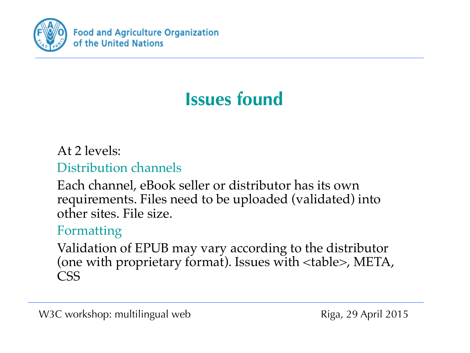

## **Issues found**

#### At 2 levels:

#### Distribution channels

Each channel, eBook seller or distributor has its own requirements. Files need to be uploaded (validated) into other sites. File size.

#### Formatting

Validation of EPUB may vary according to the distributor (one with proprietary format). Issues with <table>, META, CSS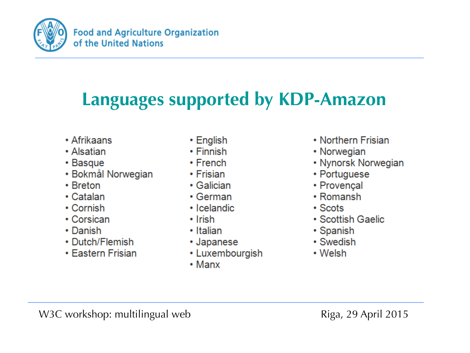

**Food and Agriculture Organization** of the United Nations

### **Languages supported by KDP-Amazon**

- Afrikaans
- Alsatian
- Basque
- Bokmål Norwegian
- Breton
- Catalan
- Cornish
- Corsican
- Danish
- Dutch/Flemish
- Eastern Frisian
- $\cdot$  English
- $\cdot$  Finnish
- $\cdot$  French
- Frisian
- $\cdot$  Galician
- $\cdot$  German
- Icelandic
- $\cdot$  Irish
- Italian
- Japanese
- Luxembourgish
- $\cdot$  Manx
- Northern Frisian
- Norwegian
- Nynorsk Norwegian
- Portuguese
- Provençal
- $\cdot$  Romansh
- $\cdot$  Scots
- Scottish Gaelic
- Spanish
- Swedish
- Welsh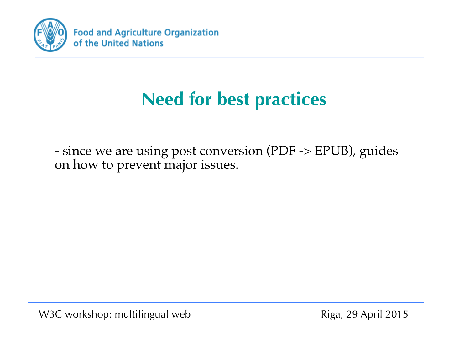

- since we are using post conversion (PDF -> EPUB), guides on how to prevent major issues.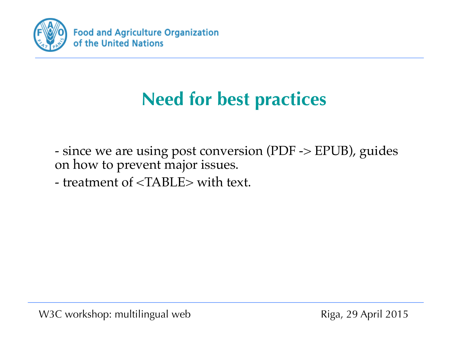

- since we are using post conversion (PDF -> EPUB), guides on how to prevent major issues.

- treatment of <TABLE> with text.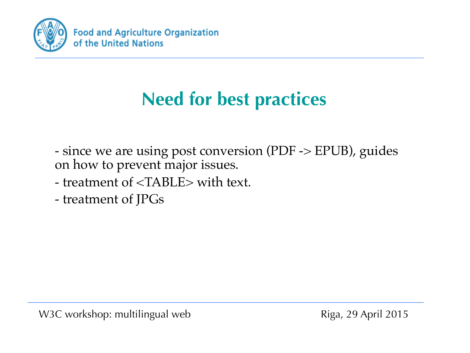

- since we are using post conversion (PDF -> EPUB), guides on how to prevent major issues.

- treatment of <TABLE> with text.
- treatment of JPGs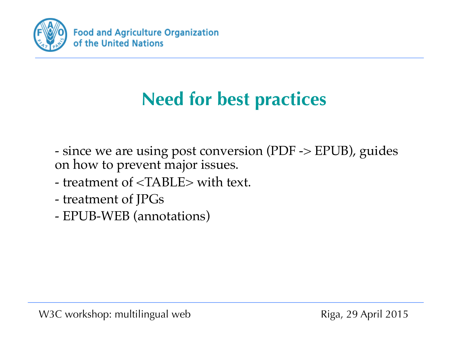

- since we are using post conversion (PDF -> EPUB), guides on how to prevent major issues.

- treatment of <TABLE> with text.
- treatment of JPGs
- EPUB-WEB (annotations)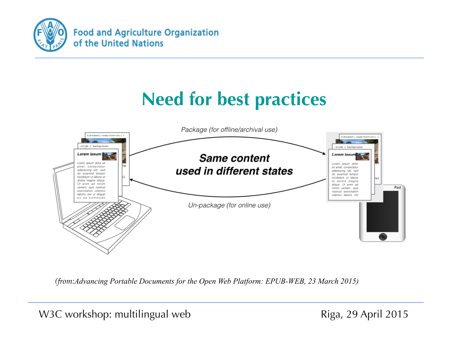



*(from:Advancing Portable Documents for the Open Web Platform: EPUB-WEB, 23 March 2015)*

W3C workshop: multilingual web Riga, 29 April 2015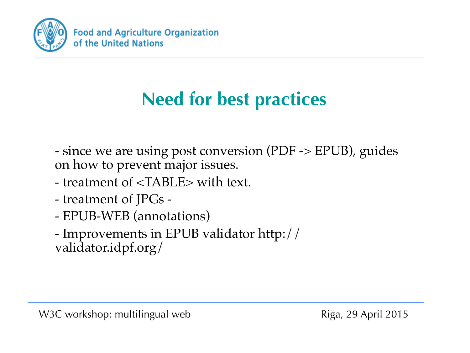

- since we are using post conversion (PDF -> EPUB), guides on how to prevent major issues.

- treatment of <TABLE> with text.
- treatment of JPGs -
- EPUB-WEB (annotations)

- Improvements in EPUB validator http:// validator.idpf.org/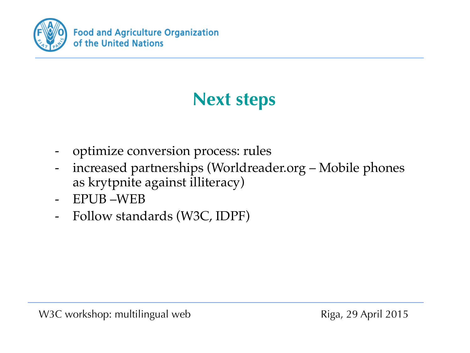

### **Next steps**

- optimize conversion process: rules
- increased partnerships (Worldreader.org Mobile phones as krytpnite against illiteracy)
- EPUB –WEB
- Follow standards (W3C, IDPF)